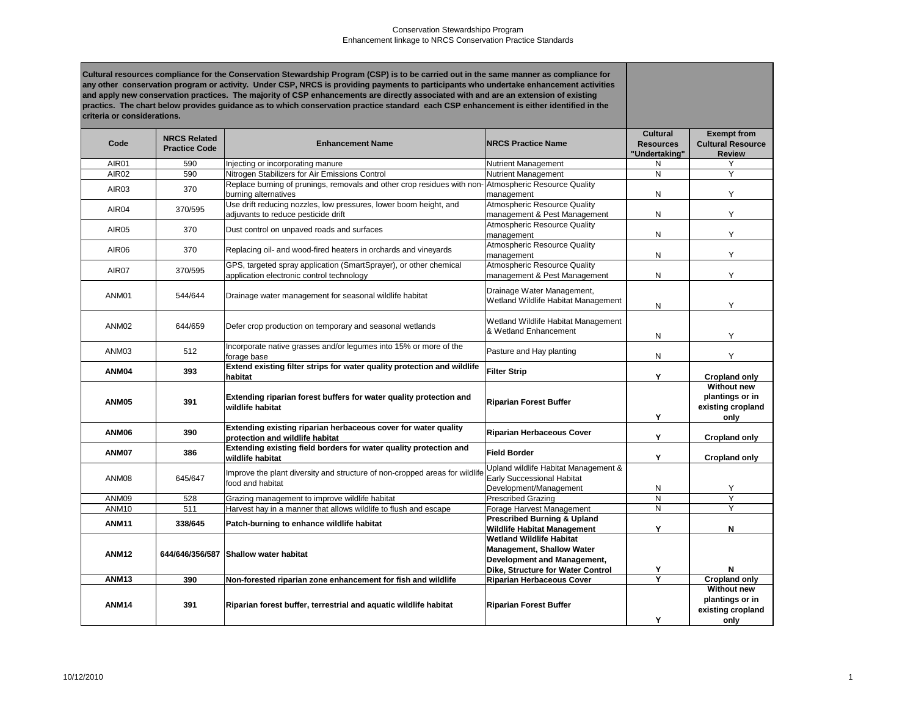| Cultural resources compliance for the Conservation Stewardship Program (CSP) is to be carried out in the same manner as compliance for<br>any other conservation program or activity. Under CSP, NRCS is providing payments to participants who undertake enhancement activities<br>and apply new conservation practices. The majority of CSP enhancements are directly associated with and are an extension of existing<br>practics. The chart below provides guidance as to which conservation practice standard each CSP enhancement is either identified in the<br>criteria or considerations. |                                             |                                                                                                                             |                                                                                                                                                |                                                      |                                                                    |
|----------------------------------------------------------------------------------------------------------------------------------------------------------------------------------------------------------------------------------------------------------------------------------------------------------------------------------------------------------------------------------------------------------------------------------------------------------------------------------------------------------------------------------------------------------------------------------------------------|---------------------------------------------|-----------------------------------------------------------------------------------------------------------------------------|------------------------------------------------------------------------------------------------------------------------------------------------|------------------------------------------------------|--------------------------------------------------------------------|
| Code                                                                                                                                                                                                                                                                                                                                                                                                                                                                                                                                                                                               | <b>NRCS Related</b><br><b>Practice Code</b> | <b>Enhancement Name</b>                                                                                                     | <b>NRCS Practice Name</b>                                                                                                                      | <b>Cultural</b><br><b>Resources</b><br>"Undertaking" | <b>Exempt from</b><br><b>Cultural Resource</b><br><b>Review</b>    |
| AIR <sub>01</sub>                                                                                                                                                                                                                                                                                                                                                                                                                                                                                                                                                                                  | 590                                         | Injecting or incorporating manure                                                                                           | Nutrient Management                                                                                                                            | N.                                                   |                                                                    |
| AIR02                                                                                                                                                                                                                                                                                                                                                                                                                                                                                                                                                                                              | 590                                         | Nitrogen Stabilizers for Air Emissions Control                                                                              | <b>Nutrient Management</b>                                                                                                                     | $\mathsf{N}$                                         | Y                                                                  |
| AIR <sub>03</sub>                                                                                                                                                                                                                                                                                                                                                                                                                                                                                                                                                                                  | 370                                         | Replace burning of prunings, removals and other crop residues with non-Atmospheric Resource Quality<br>burning alternatives | management                                                                                                                                     | N                                                    | Y                                                                  |
| AIR04                                                                                                                                                                                                                                                                                                                                                                                                                                                                                                                                                                                              | 370/595                                     | Use drift reducing nozzles, low pressures, lower boom height, and<br>adjuvants to reduce pesticide drift                    | <b>Atmospheric Resource Quality</b><br>management & Pest Management                                                                            | N                                                    | Y                                                                  |
| AIR <sub>05</sub>                                                                                                                                                                                                                                                                                                                                                                                                                                                                                                                                                                                  | 370                                         | Dust control on unpaved roads and surfaces                                                                                  | <b>Atmospheric Resource Quality</b><br>management                                                                                              | N                                                    | Y                                                                  |
| AIR <sub>06</sub>                                                                                                                                                                                                                                                                                                                                                                                                                                                                                                                                                                                  | 370                                         | Replacing oil- and wood-fired heaters in orchards and vineyards                                                             | <b>Atmospheric Resource Quality</b><br>management                                                                                              | N                                                    | Y                                                                  |
| AIR07                                                                                                                                                                                                                                                                                                                                                                                                                                                                                                                                                                                              | 370/595                                     | GPS, targeted spray application (SmartSprayer), or other chemical<br>application electronic control technology              | Atmospheric Resource Quality<br>management & Pest Management                                                                                   | N                                                    | Υ                                                                  |
| ANM01                                                                                                                                                                                                                                                                                                                                                                                                                                                                                                                                                                                              | 544/644                                     | Drainage water management for seasonal wildlife habitat                                                                     | Drainage Water Management,<br>Wetland Wildlife Habitat Management                                                                              | N                                                    | Y                                                                  |
| ANM <sub>02</sub>                                                                                                                                                                                                                                                                                                                                                                                                                                                                                                                                                                                  | 644/659                                     | Defer crop production on temporary and seasonal wetlands                                                                    | Wetland Wildlife Habitat Management<br>& Wetland Enhancement                                                                                   | N                                                    | Y                                                                  |
| ANM03                                                                                                                                                                                                                                                                                                                                                                                                                                                                                                                                                                                              | 512                                         | Incorporate native grasses and/or legumes into 15% or more of the<br>forage base                                            | Pasture and Hay planting                                                                                                                       | N                                                    | Y                                                                  |
| ANM04                                                                                                                                                                                                                                                                                                                                                                                                                                                                                                                                                                                              | 393                                         | Extend existing filter strips for water quality protection and wildlife<br>habitat                                          | <b>Filter Strip</b>                                                                                                                            | Y                                                    | <b>Cropland only</b>                                               |
| <b>ANM05</b>                                                                                                                                                                                                                                                                                                                                                                                                                                                                                                                                                                                       | 391                                         | Extending riparian forest buffers for water quality protection and<br>wildlife habitat                                      | <b>Riparian Forest Buffer</b>                                                                                                                  |                                                      | <b>Without new</b><br>plantings or in<br>existing cropland<br>only |
| <b>ANM06</b>                                                                                                                                                                                                                                                                                                                                                                                                                                                                                                                                                                                       | 390                                         | Extending existing riparian herbaceous cover for water quality<br>protection and wildlife habitat                           | <b>Riparian Herbaceous Cover</b>                                                                                                               | Y                                                    | <b>Cropland only</b>                                               |
| ANM07                                                                                                                                                                                                                                                                                                                                                                                                                                                                                                                                                                                              | 386                                         | <b>Extending existing field borders for water quality protection and</b><br>wildlife habitat                                | <b>Field Border</b>                                                                                                                            | Υ                                                    | <b>Cropland only</b>                                               |
| ANM08                                                                                                                                                                                                                                                                                                                                                                                                                                                                                                                                                                                              | 645/647                                     | Improve the plant diversity and structure of non-cropped areas for wildlife<br>food and habitat                             | Upland wildlife Habitat Management &<br><b>Early Successional Habitat</b><br>Development/Management                                            | N                                                    | Y                                                                  |
| ANM09                                                                                                                                                                                                                                                                                                                                                                                                                                                                                                                                                                                              | 528                                         | Grazing management to improve wildlife habitat                                                                              | <b>Prescribed Grazing</b>                                                                                                                      | $\overline{N}$                                       | $\overline{Y}$                                                     |
| ANM10                                                                                                                                                                                                                                                                                                                                                                                                                                                                                                                                                                                              | 511                                         | Harvest hay in a manner that allows wildlife to flush and escape                                                            | Forage Harvest Management                                                                                                                      | N                                                    | Y                                                                  |
| <b>ANM11</b>                                                                                                                                                                                                                                                                                                                                                                                                                                                                                                                                                                                       | 338/645                                     | Patch-burning to enhance wildlife habitat                                                                                   | <b>Prescribed Burning &amp; Upland</b><br><b>Wildlife Habitat Management</b>                                                                   | Y                                                    | N                                                                  |
| <b>ANM12</b>                                                                                                                                                                                                                                                                                                                                                                                                                                                                                                                                                                                       |                                             | 644/646/356/587 Shallow water habitat                                                                                       | <b>Wetland Wildlife Habitat</b><br><b>Management, Shallow Water</b><br><b>Development and Management,</b><br>Dike, Structure for Water Control | Y                                                    | N                                                                  |
| <b>ANM13</b>                                                                                                                                                                                                                                                                                                                                                                                                                                                                                                                                                                                       | 390                                         | Non-forested riparian zone enhancement for fish and wildlife                                                                | <b>Riparian Herbaceous Cover</b>                                                                                                               | $\overline{\mathsf{Y}}$                              | <b>Cropland only</b>                                               |
| <b>ANM14</b>                                                                                                                                                                                                                                                                                                                                                                                                                                                                                                                                                                                       | 391                                         | Riparian forest buffer, terrestrial and aquatic wildlife habitat                                                            | <b>Riparian Forest Buffer</b>                                                                                                                  |                                                      | <b>Without new</b><br>plantings or in<br>existing cropland<br>only |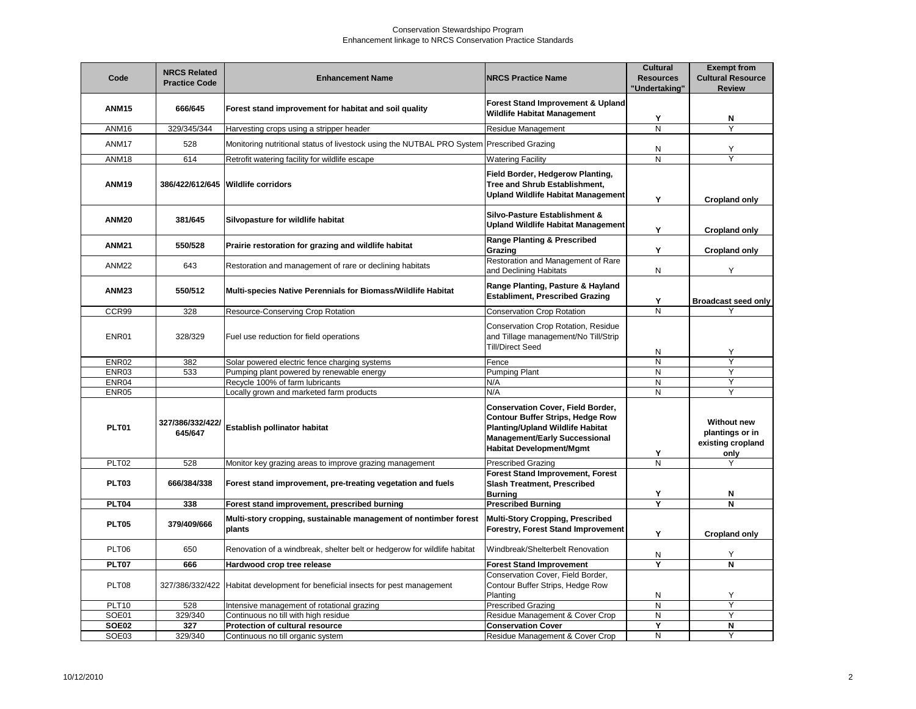## Conservation Stewardshipo Program Enhancement linkage to NRCS Conservation Practice Standards

| Code              | <b>NRCS Related</b><br><b>Practice Code</b> | <b>Enhancement Name</b>                                                                   | <b>INRCS Practice Name</b>                                                                                                                                                                         | <b>Cultural</b><br><b>Resources</b><br>"Undertaking" | <b>Exempt from</b><br><b>Cultural Resource</b><br><b>Review</b> |
|-------------------|---------------------------------------------|-------------------------------------------------------------------------------------------|----------------------------------------------------------------------------------------------------------------------------------------------------------------------------------------------------|------------------------------------------------------|-----------------------------------------------------------------|
| <b>ANM15</b>      | 666/645                                     | Forest stand improvement for habitat and soil quality                                     | <b>Forest Stand Improvement &amp; Upland</b><br><b>Wildlife Habitat Management</b>                                                                                                                 | Υ                                                    | N                                                               |
| ANM16             | 329/345/344                                 | Harvesting crops using a stripper header                                                  | Residue Management                                                                                                                                                                                 | $\overline{\mathsf{N}}$                              | $\overline{Y}$                                                  |
| ANM <sub>17</sub> | 528                                         | Monitoring nutritional status of livestock using the NUTBAL PRO System Prescribed Grazing |                                                                                                                                                                                                    | N                                                    | Υ                                                               |
| ANM18             | 614                                         | Retrofit watering facility for wildlife escape                                            | <b>Watering Facility</b>                                                                                                                                                                           | N                                                    | Y                                                               |
| <b>ANM19</b>      |                                             | 386/422/612/645   Wildlife corridors                                                      | <b>Field Border, Hedgerow Planting,</b><br>Tree and Shrub Establishment,<br><b>Upland Wildlife Habitat Management</b>                                                                              | Y                                                    | <b>Cropland only</b>                                            |
| <b>ANM20</b>      | 381/645                                     | Silvopasture for wildlife habitat                                                         | Silvo-Pasture Establishment &<br>Upland Wildlife Habitat Management                                                                                                                                | Y                                                    | <b>Cropland only</b>                                            |
| <b>ANM21</b>      | 550/528                                     | Prairie restoration for grazing and wildlife habitat                                      | <b>Range Planting &amp; Prescribed</b><br>Grazing                                                                                                                                                  | Y                                                    | <b>Cropland only</b>                                            |
| <b>ANM22</b>      | 643                                         | Restoration and management of rare or declining habitats                                  | Restoration and Management of Rare<br>and Declining Habitats                                                                                                                                       | N                                                    | Y                                                               |
| <b>ANM23</b>      | 550/512                                     | Multi-species Native Perennials for Biomass/Wildlife Habitat                              | Range Planting, Pasture & Hayland<br><b>Establiment, Prescribed Grazing</b>                                                                                                                        | Y                                                    | <b>Broadcast seed only</b>                                      |
| CCR99             | 328                                         | Resource-Conserving Crop Rotation                                                         | <b>Conservation Crop Rotation</b>                                                                                                                                                                  | N                                                    |                                                                 |
| ENR01             | 328/329                                     | Fuel use reduction for field operations                                                   | Conservation Crop Rotation, Residue<br>and Tillage management/No Till/Strip<br><b>Till/Direct Seed</b>                                                                                             | N                                                    | Υ                                                               |
| <b>ENR02</b>      | 382                                         | Solar powered electric fence charging systems                                             | Fence                                                                                                                                                                                              | $\mathsf{N}$                                         | $\overline{Y}$                                                  |
| ENR03             | 533                                         | Pumping plant powered by renewable energy                                                 | <b>Pumping Plant</b>                                                                                                                                                                               | N                                                    | Y                                                               |
| ENR04             |                                             | Recycle 100% of farm lubricants                                                           | N/A                                                                                                                                                                                                | $\mathsf{N}$                                         | Y                                                               |
| ENR05             |                                             | Locally grown and marketed farm products                                                  | N/A                                                                                                                                                                                                | N                                                    | Y                                                               |
| <b>PLT01</b>      | 327/386/332/422/<br>645/647                 | <b>Establish pollinator habitat</b>                                                       | <b>Conservation Cover, Field Border,</b><br><b>Contour Buffer Strips, Hedge Row</b><br>Planting/Upland Wildlife Habitat<br><b>Management/Early Successional</b><br><b>Habitat Development/Mgmt</b> | Y                                                    | Without new<br>plantings or in<br>existing cropland<br>only     |
| PLT02             | 528                                         | Monitor key grazing areas to improve grazing management                                   | <b>Prescribed Grazing</b>                                                                                                                                                                          | N                                                    | Y                                                               |
| <b>PLT03</b>      | 666/384/338                                 | Forest stand improvement, pre-treating vegetation and fuels                               | <b>Forest Stand Improvement, Forest</b><br><b>Slash Treatment, Prescribed</b><br><b>Burning</b>                                                                                                    | Υ                                                    | N                                                               |
| PLT04             | 338                                         | Forest stand improvement, prescribed burning                                              | <b>Prescribed Burning</b>                                                                                                                                                                          | $\overline{Y}$                                       | N                                                               |
| <b>PLT05</b>      | 379/409/666                                 | Multi-story cropping, sustainable management of nontimber forest<br>plants                | Multi-Story Cropping, Prescribed<br><b>Forestry, Forest Stand Improvement</b>                                                                                                                      | Y                                                    | <b>Cropland only</b>                                            |
| PLT06             | 650                                         | Renovation of a windbreak, shelter belt or hedgerow for wildlife habitat                  | Windbreak/Shelterbelt Renovation                                                                                                                                                                   | N                                                    | Y                                                               |
| PLT07             | 666                                         | Hardwood crop tree release                                                                | <b>Forest Stand Improvement</b>                                                                                                                                                                    | $\overline{\mathsf{Y}}$                              | N                                                               |
| PLT08             | 327/386/332/422                             | Habitat development for beneficial insects for pest management                            | Conservation Cover, Field Border,<br>Contour Buffer Strips, Hedge Row<br>Planting                                                                                                                  | N                                                    | Υ                                                               |
| <b>PLT10</b>      | 528                                         | Intensive management of rotational grazing                                                | <b>Prescribed Grazing</b>                                                                                                                                                                          | N                                                    | Y                                                               |
| SOE01             | 329/340                                     | Continuous no till with high residue                                                      | Residue Management & Cover Crop                                                                                                                                                                    | ${\sf N}$                                            | Y                                                               |
| SOE02             | 327                                         | <b>Protection of cultural resource</b>                                                    | <b>Conservation Cover</b>                                                                                                                                                                          | Y                                                    | N                                                               |
| SOE03             | 329/340                                     | Continuous no till organic system                                                         | Residue Management & Cover Crop                                                                                                                                                                    | N                                                    | Y                                                               |